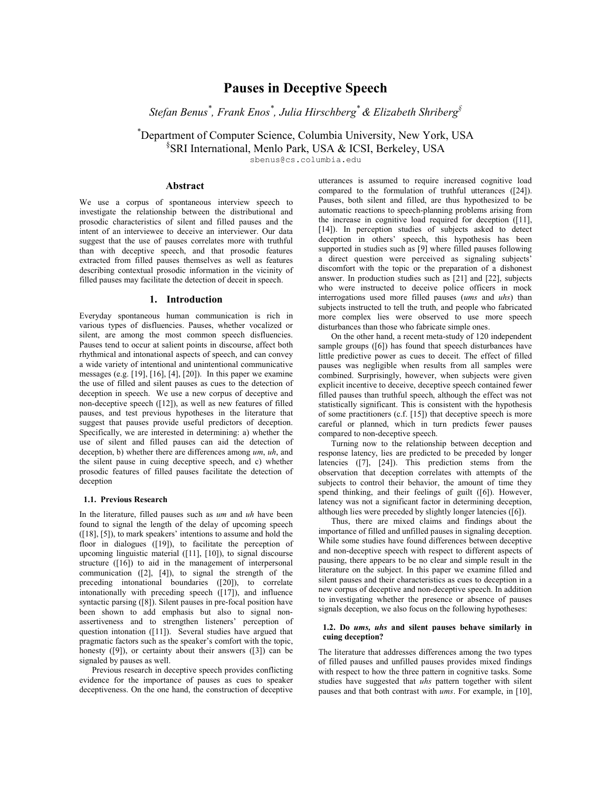# Pauses in Deceptive Speech

Stefan Benus $^*$ , Frank Enos $^*$ , Julia Hirschberg $^*$  & Elizabeth Shriberg $^{\S}$ 

\*Department of Computer Science, Columbia University, New York, USA § SRI International, Menlo Park, USA & ICSI, Berkeley, USA

sbenus@cs.columbia.edu

## Abstract

We use a corpus of spontaneous interview speech to investigate the relationship between the distributional and prosodic characteristics of silent and filled pauses and the intent of an interviewee to deceive an interviewer. Our data suggest that the use of pauses correlates more with truthful than with deceptive speech, and that prosodic features extracted from filled pauses themselves as well as features describing contextual prosodic information in the vicinity of filled pauses may facilitate the detection of deceit in speech.

#### 1. Introduction

Everyday spontaneous human communication is rich in various types of disfluencies. Pauses, whether vocalized or silent, are among the most common speech disfluencies. Pauses tend to occur at salient points in discourse, affect both rhythmical and intonational aspects of speech, and can convey a wide variety of intentional and unintentional communicative messages (e.g. [19], [16], [4], [20]). In this paper we examine the use of filled and silent pauses as cues to the detection of deception in speech. We use a new corpus of deceptive and non-deceptive speech ([12]), as well as new features of filled pauses, and test previous hypotheses in the literature that suggest that pauses provide useful predictors of deception. Specifically, we are interested in determining: a) whether the use of silent and filled pauses can aid the detection of deception, b) whether there are differences among um, uh, and the silent pause in cuing deceptive speech, and c) whether prosodic features of filled pauses facilitate the detection of deception

## 1.1. Previous Research

In the literature, filled pauses such as um and uh have been found to signal the length of the delay of upcoming speech ([18], [5]), to mark speakers' intentions to assume and hold the floor in dialogues ([19]), to facilitate the perception of upcoming linguistic material ([11], [10]), to signal discourse structure ([16]) to aid in the management of interpersonal communication ([2], [4]), to signal the strength of the preceding intonational boundaries ([20]), to correlate intonationally with preceding speech ([17]), and influence syntactic parsing ([8]). Silent pauses in pre-focal position have been shown to add emphasis but also to signal nonassertiveness and to strengthen listeners' perception of question intonation ([11]). Several studies have argued that pragmatic factors such as the speaker's comfort with the topic, honesty  $([9])$ , or certainty about their answers  $([3])$  can be signaled by pauses as well.

Previous research in deceptive speech provides conflicting evidence for the importance of pauses as cues to speaker deceptiveness. On the one hand, the construction of deceptive utterances is assumed to require increased cognitive load compared to the formulation of truthful utterances ([24]). Pauses, both silent and filled, are thus hypothesized to be automatic reactions to speech-planning problems arising from the increase in cognitive load required for deception ([11], [14]). In perception studies of subjects asked to detect deception in others' speech, this hypothesis has been supported in studies such as [9] where filled pauses following a direct question were perceived as signaling subjects' discomfort with the topic or the preparation of a dishonest answer. In production studies such as [21] and [22], subjects who were instructed to deceive police officers in mock interrogations used more filled pauses (ums and uhs) than subjects instructed to tell the truth, and people who fabricated more complex lies were observed to use more speech disturbances than those who fabricate simple ones.

On the other hand, a recent meta-study of 120 independent sample groups ([6]) has found that speech disturbances have little predictive power as cues to deceit. The effect of filled pauses was negligible when results from all samples were combined. Surprisingly, however, when subjects were given explicit incentive to deceive, deceptive speech contained fewer filled pauses than truthful speech, although the effect was not statistically significant. This is consistent with the hypothesis of some practitioners (c.f. [15]) that deceptive speech is more careful or planned, which in turn predicts fewer pauses compared to non-deceptive speech.

Turning now to the relationship between deception and response latency, lies are predicted to be preceded by longer latencies ([7], [24]). This prediction stems from the observation that deception correlates with attempts of the subjects to control their behavior, the amount of time they spend thinking, and their feelings of guilt ([6]). However, latency was not a significant factor in determining deception, although lies were preceded by slightly longer latencies ([6]).

Thus, there are mixed claims and findings about the importance of filled and unfilled pauses in signaling deception. While some studies have found differences between deceptive and non-deceptive speech with respect to different aspects of pausing, there appears to be no clear and simple result in the literature on the subject. In this paper we examine filled and silent pauses and their characteristics as cues to deception in a new corpus of deceptive and non-deceptive speech. In addition to investigating whether the presence or absence of pauses signals deception, we also focus on the following hypotheses:

## 1.2. Do ums, uhs and silent pauses behave similarly in cuing deception?

The literature that addresses differences among the two types of filled pauses and unfilled pauses provides mixed findings with respect to how the three pattern in cognitive tasks. Some studies have suggested that uhs pattern together with silent pauses and that both contrast with ums. For example, in [10],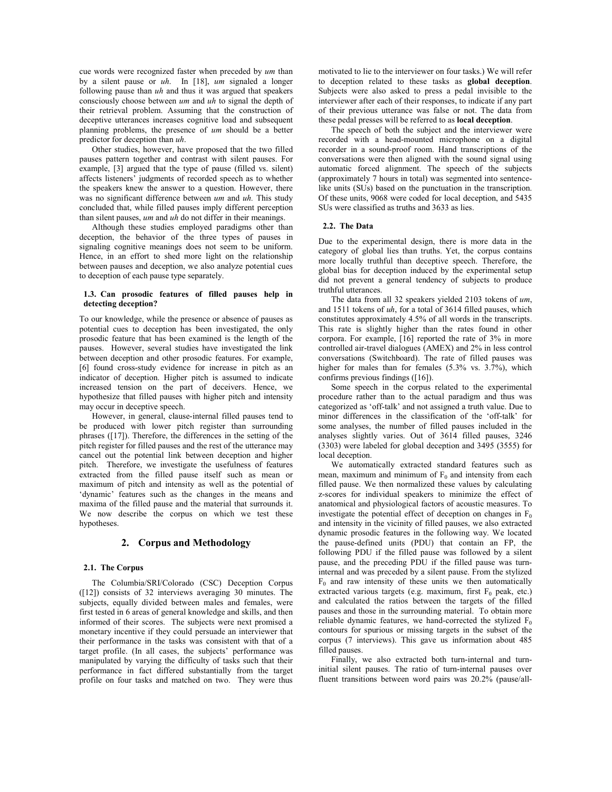cue words were recognized faster when preceded by um than by a silent pause or uh. In [18], um signaled a longer following pause than  $uh$  and thus it was argued that speakers consciously choose between um and uh to signal the depth of their retrieval problem. Assuming that the construction of deceptive utterances increases cognitive load and subsequent planning problems, the presence of um should be a better predictor for deception than uh.

Other studies, however, have proposed that the two filled pauses pattern together and contrast with silent pauses. For example, [3] argued that the type of pause (filled vs. silent) affects listeners' judgments of recorded speech as to whether the speakers knew the answer to a question. However, there was no significant difference between um and uh. This study concluded that, while filled pauses imply different perception than silent pauses, um and uh do not differ in their meanings.

Although these studies employed paradigms other than deception, the behavior of the three types of pauses in signaling cognitive meanings does not seem to be uniform. Hence, in an effort to shed more light on the relationship between pauses and deception, we also analyze potential cues to deception of each pause type separately.

## 1.3. Can prosodic features of filled pauses help in detecting deception?

To our knowledge, while the presence or absence of pauses as potential cues to deception has been investigated, the only prosodic feature that has been examined is the length of the pauses. However, several studies have investigated the link between deception and other prosodic features. For example, [6] found cross-study evidence for increase in pitch as an indicator of deception. Higher pitch is assumed to indicate increased tension on the part of deceivers. Hence, we hypothesize that filled pauses with higher pitch and intensity may occur in deceptive speech.

However, in general, clause-internal filled pauses tend to be produced with lower pitch register than surrounding phrases ([17]). Therefore, the differences in the setting of the pitch register for filled pauses and the rest of the utterance may cancel out the potential link between deception and higher pitch. Therefore, we investigate the usefulness of features extracted from the filled pause itself such as mean or maximum of pitch and intensity as well as the potential of 'dynamic' features such as the changes in the means and maxima of the filled pause and the material that surrounds it. We now describe the corpus on which we test these hypotheses.

## 2. Corpus and Methodology

## 2.1. The Corpus

The Columbia/SRI/Colorado (CSC) Deception Corpus ([12]) consists of 32 interviews averaging 30 minutes. The subjects, equally divided between males and females, were first tested in 6 areas of general knowledge and skills, and then informed of their scores. The subjects were next promised a monetary incentive if they could persuade an interviewer that their performance in the tasks was consistent with that of a target profile. (In all cases, the subjects' performance was manipulated by varying the difficulty of tasks such that their performance in fact differed substantially from the target profile on four tasks and matched on two. They were thus motivated to lie to the interviewer on four tasks.) We will refer to deception related to these tasks as global deception. Subjects were also asked to press a pedal invisible to the interviewer after each of their responses, to indicate if any part of their previous utterance was false or not. The data from these pedal presses will be referred to as local deception.

The speech of both the subject and the interviewer were recorded with a head-mounted microphone on a digital recorder in a sound-proof room. Hand transcriptions of the conversations were then aligned with the sound signal using automatic forced alignment. The speech of the subjects (approximately 7 hours in total) was segmented into sentencelike units (SUs) based on the punctuation in the transcription. Of these units, 9068 were coded for local deception, and 5435 SUs were classified as truths and 3633 as lies.

## 2.2. The Data

Due to the experimental design, there is more data in the category of global lies than truths. Yet, the corpus contains more locally truthful than deceptive speech. Therefore, the global bias for deception induced by the experimental setup did not prevent a general tendency of subjects to produce truthful utterances.

The data from all 32 speakers yielded 2103 tokens of um, and 1511 tokens of uh, for a total of 3614 filled pauses, which constitutes approximately 4.5% of all words in the transcripts. This rate is slightly higher than the rates found in other corpora. For example, [16] reported the rate of 3% in more controlled air-travel dialogues (AMEX) and 2% in less control conversations (Switchboard). The rate of filled pauses was higher for males than for females (5.3% vs. 3.7%), which confirms previous findings ([16]).

Some speech in the corpus related to the experimental procedure rather than to the actual paradigm and thus was categorized as 'off-talk' and not assigned a truth value. Due to minor differences in the classification of the 'off-talk' for some analyses, the number of filled pauses included in the analyses slightly varies. Out of 3614 filled pauses, 3246 (3303) were labeled for global deception and 3495 (3555) for local deception.

We automatically extracted standard features such as mean, maximum and minimum of  $F_0$  and intensity from each filled pause. We then normalized these values by calculating z-scores for individual speakers to minimize the effect of anatomical and physiological factors of acoustic measures. To investigate the potential effect of deception on changes in  $F_0$ and intensity in the vicinity of filled pauses, we also extracted dynamic prosodic features in the following way. We located the pause-defined units (PDU) that contain an FP, the following PDU if the filled pause was followed by a silent pause, and the preceding PDU if the filled pause was turninternal and was preceded by a silent pause. From the stylized  $F_0$  and raw intensity of these units we then automatically extracted various targets (e.g. maximum, first  $F_0$  peak, etc.) and calculated the ratios between the targets of the filled pauses and those in the surrounding material. To obtain more reliable dynamic features, we hand-corrected the stylized  $F_0$ contours for spurious or missing targets in the subset of the corpus (7 interviews). This gave us information about 485 filled pauses.

Finally, we also extracted both turn-internal and turninitial silent pauses. The ratio of turn-internal pauses over fluent transitions between word pairs was 20.2% (pause/all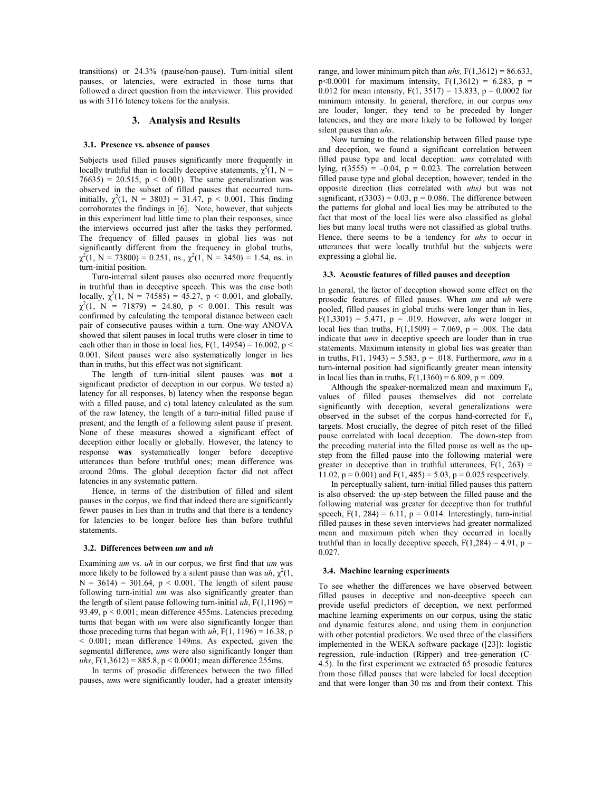transitions) or 24.3% (pause/non-pause). Turn-initial silent pauses, or latencies, were extracted in those turns that followed a direct question from the interviewer. This provided us with 3116 latency tokens for the analysis.

## 3. Analysis and Results

#### 3.1. Presence vs. absence of pauses

Subjects used filled pauses significantly more frequently in locally truthful than in locally deceptive statements,  $\chi^2(1, N =$  $76635$ ) = 20.515, p < 0.001). The same generalization was observed in the subset of filled pauses that occurred turninitially,  $\chi^2(1, N = 3803) = 31.47$ ,  $p < 0.001$ . This finding corroborates the findings in [6]. Note, however, that subjects in this experiment had little time to plan their responses, since the interviews occurred just after the tasks they performed. The frequency of filled pauses in global lies was not significantly different from the frequency in global truths,  $\chi^2(1, N = 73800) = 0.251$ , ns.,  $\chi^2(1, N = 3450) = 1.54$ , ns. in turn-initial position.

Turn-internal silent pauses also occurred more frequently in truthful than in deceptive speech. This was the case both locally,  $\chi^2(1, N = 74585) = 45.27$ ,  $p < 0.001$ , and globally,  $\chi^2(1, N = 71879) = 24.80, p < 0.001$ . This result was confirmed by calculating the temporal distance between each pair of consecutive pauses within a turn. One-way ANOVA showed that silent pauses in local truths were closer in time to each other than in those in local lies,  $F(1, 14954) = 16.002$ , p < 0.001. Silent pauses were also systematically longer in lies than in truths, but this effect was not significant.

The length of turn-initial silent pauses was not a significant predictor of deception in our corpus. We tested a) latency for all responses, b) latency when the response began with a filled pause, and c) total latency calculated as the sum of the raw latency, the length of a turn-initial filled pause if present, and the length of a following silent pause if present. None of these measures showed a significant effect of deception either locally or globally. However, the latency to response was systematically longer before deceptive utterances than before truthful ones; mean difference was around 20ms. The global deception factor did not affect latencies in any systematic pattern.

Hence, in terms of the distribution of filled and silent pauses in the corpus, we find that indeed there are significantly fewer pauses in lies than in truths and that there is a tendency for latencies to be longer before lies than before truthful statements.

#### 3.2. Differences between um and uh

Examining um vs. uh in our corpus, we first find that um was more likely to be followed by a silent pause than was  $uh, \chi^2(1, \chi)$  $N = 3614$ ) = 301.64, p < 0.001. The length of silent pause following turn-initial um was also significantly greater than the length of silent pause following turn-initial  $uh$ ,  $F(1,1196) =$ 93.49, p < 0.001; mean difference 455ms. Latencies preceding turns that began with um were also significantly longer than those preceding turns that began with  $uh$ , F(1, 1196) = 16.38, p < 0.001; mean difference 149ms. As expected, given the segmental difference, ums were also significantly longer than uhs,  $F(1,3612) = 885.8$ ,  $p < 0.0001$ ; mean difference 255ms.

In terms of prosodic differences between the two filled pauses, ums were significantly louder, had a greater intensity range, and lower minimum pitch than uhs,  $F(1,3612) = 86.633$ , p<0.0001 for maximum intensity,  $F(1,3612) = 6.283$ , p = 0.012 for mean intensity,  $F(1, 3517) = 13.833$ ,  $p = 0.0002$  for minimum intensity. In general, therefore, in our corpus ums are louder, longer, they tend to be preceded by longer latencies, and they are more likely to be followed by longer silent pauses than uhs.

Now turning to the relationship between filled pause type and deception, we found a significant correlation between filled pause type and local deception: ums correlated with lying,  $r(3555) = -0.04$ ,  $p = 0.023$ . The correlation between filled pause type and global deception, however, tended in the opposite direction (lies correlated with uhs) but was not significant,  $r(3303) = 0.03$ ,  $p = 0.086$ . The difference between the patterns for global and local lies may be attributed to the fact that most of the local lies were also classified as global lies but many local truths were not classified as global truths. Hence, there seems to be a tendency for uhs to occur in utterances that were locally truthful but the subjects were expressing a global lie.

### 3.3. Acoustic features of filled pauses and deception

In general, the factor of deception showed some effect on the prosodic features of filled pauses. When um and uh were pooled, filled pauses in global truths were longer than in lies,  $F(1,3301) = 5.471$ ,  $p = .019$ . However, *uhs* were longer in local lies than truths,  $F(1,1509) = 7.069$ ,  $p = .008$ . The data indicate that ums in deceptive speech are louder than in true statements. Maximum intensity in global lies was greater than in truths,  $F(1, 1943) = 5.583$ ,  $p = .018$ . Furthermore, *ums* in a turn-internal position had significantly greater mean intensity in local lies than in truths,  $F(1,1360) = 6.809$ ,  $p = .009$ .

Although the speaker-normalized mean and maximum  $F_0$ values of filled pauses themselves did not correlate significantly with deception, several generalizations were observed in the subset of the corpus hand-corrected for  $F_0$ targets. Most crucially, the degree of pitch reset of the filled pause correlated with local deception. The down-step from the preceding material into the filled pause as well as the upstep from the filled pause into the following material were greater in deceptive than in truthful utterances,  $F(1, 263) =$ 11.02,  $p = 0.001$ ) and  $F(1, 485) = 5.03$ ,  $p = 0.025$  respectively.

In perceptually salient, turn-initial filled pauses this pattern is also observed: the up-step between the filled pause and the following material was greater for deceptive than for truthful speech,  $F(1, 284) = 6.11$ ,  $p = 0.014$ . Interestingly, turn-initial filled pauses in these seven interviews had greater normalized mean and maximum pitch when they occurred in locally truthful than in locally deceptive speech,  $F(1,284) = 4.91$ ,  $p =$ 0.027.

#### 3.4. Machine learning experiments

To see whether the differences we have observed between filled pauses in deceptive and non-deceptive speech can provide useful predictors of deception, we next performed machine learning experiments on our corpus, using the static and dynamic features alone, and using them in conjunction with other potential predictors. We used three of the classifiers implemented in the WEKA software package ([23]): logistic regression, rule-induction (Ripper) and tree-generation (C-4.5). In the first experiment we extracted 65 prosodic features from those filled pauses that were labeled for local deception and that were longer than 30 ms and from their context. This